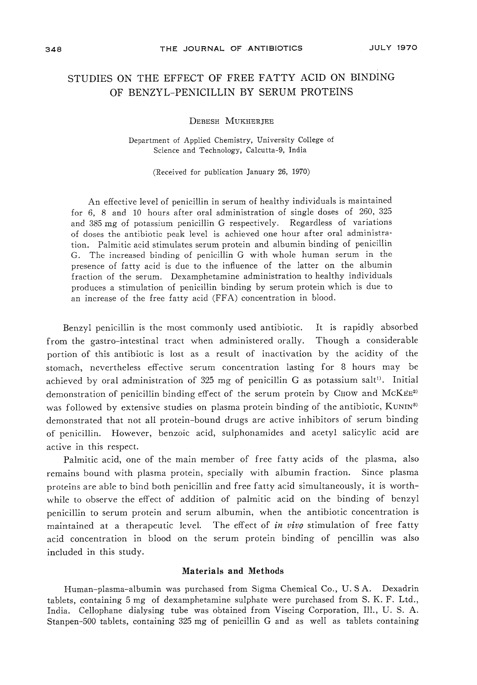# STUDIES ON THE EFFECT OF FREE FATTY ACID ON BINDING OF BENZYL-PENICILLIN BY SERUM PROTEINS

## DEBESH MUKHERJEE

Department of Applied Chemistry, University College of Science and Technology, Calcutta-9, India

(Received for publication January 26, 1970)

An effective level of penicillin in serum of healthy individuals is maintained for 6, 8 and 10 hours after oral administration of single doses of 260, 325 and <sup>385</sup> mg of potassium penicillin G respectively. Regardless of variations of doses the antibiotic peak level is achieved one hour after oral administration. Palmitic acid stimulates serum protein and albumin binding of penicillin G. The increased binding of penicillin G with whole human serum in the presence of fatty acid is due to the influence of the latter on the albumin fraction of the serum. Dexamphetamine administration to healthy individuals produces a stimulation of penicillin binding by serum protein which is due to an increase of the free fatty acid (FFA) concentration in blood.

Benzyl penicillin is the most commonly used antibiotic. It is rapidly absorbed from the gastro-intestinal tract when administered orally. Though a considerable portion of this antibiotic is lost as a result of inactivation by the acidity of the stomach, nevertheless effective serum concentration lasting for <sup>8</sup> hours may be achieved by oral administration of 325 mg of penicillin G as potassium salt<sup>1)</sup>. Initial demonstration of penicillin binding effect of the serum protein by Chow and McKEE<sup>2)</sup> was followed by extensive studies on plasma protein binding of the antibiotic, KUNIN<sup>3)</sup> demonstrated that not all protein-bound drugs are active inhibitors of serum binding of penicillin. However, benzoic acid, sulphonamides and acetyl salicylic acid are active in this respect.

Palmitic acid, one of the main member of free fatty acids of the plasma, also remains bound with plasma protein, specially with albumin fraction. Since plasma proteins are able to bind both penicillin and free fatty acid simultaneously, it is worthwhile to observe the effect of addition of palmitic acid on the binding of benzyl penicillin to serum protein and serum albumin, when the antibiotic concentration is maintained at a therapeutic level. The effect of in vivo stimulation of free fatty acid concentration in blood on the serum protein binding of pencillin was also included in this study.

## Materials and Methods

Human-plasma-albumin was purchased from Sigma Chemical Co., U. S A. Dexadrin tablets, containing <sup>5</sup> mg of dexamphetamine sulphate were purchased from S. K. F. Ltd., India. Cellophane dialysing tube was obtained from Viscing Corporation, 111., U. S. A. Stanpen-500 tablets, containing <sup>325</sup> mg of penicillin G and as well as tablets containing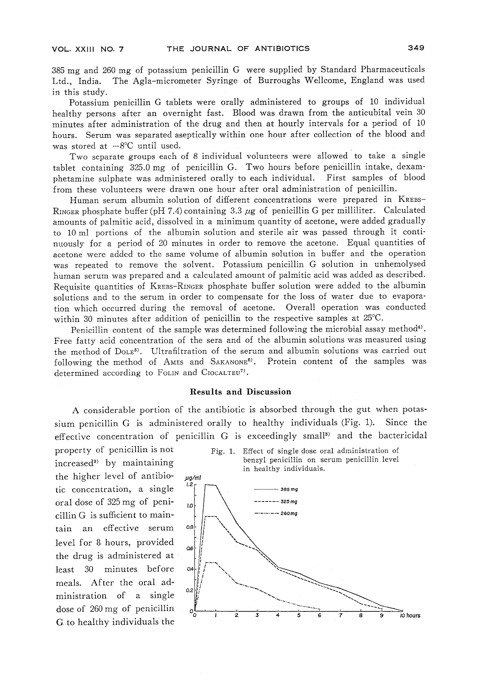385 mg and <sup>260</sup> mg of potassium penicillin <sup>G</sup> were supplied by Standard Pharmaceuticals Ltd., India. The Agla-micrometer Syringe of Burroughs Wellcome, England was used in this study.

Potassium penicillin G tablets were orally administered to groups of <sup>10</sup> individual healthy persons after an overnight fast. Blood was drawn from the anticubital vein 30 minutes after administration of the drug and then at hourly intervals for a period of 10 hours. Serum was separated aseptically within one hour after collection of the blood and was stored at  $-8^{\circ}$ C until used.

Two separate groups each of <sup>8</sup> individual volunteers were allowed to take <sup>a</sup> single tablet containing 325.0 mg of penicillin G. Two hours before penicillin intake, dexamphetamine sulphate was administered orally to each individual. First samples of blood from these volunteers were drawn one hour after oral administration of penicillin.

Human serum albumin solution of different concentrations were prepared in KREBS-RINGER phosphate buffer (pH 7.4) containing  $3.3 \mu$ g of penicillin G per milliliter. Calculated amounts of palmitic acid, dissolved in a minimum quantity of acetone, were added gradually to 10ml portions of the albumin solution and sterile air was passed through it continuously for a period of <sup>20</sup> minutes in order to remove the acetone. Equal quantities of acetone were added to the same volume of albumin solution in buffer and the operation was repeated to remove the solvent. Potassium penicillin G solution in unhemolysed human serum was prepared and a calculated amount of palmitic acid was added as described. Requisite quantities of Krebs-Ringer phosphate buffer solution were added to the albumin solutions and to the serum in order to compensate for the loss of water due to evaporation which occurred during the removal of acetone. Overall operation was conducted within 30 minutes after addition of penicillin to the respective samples at  $25^{\circ}$ C.

Penicillin content of the sample was determined following the microbial assay method<sup>4)</sup>. Free fatty acid concentration of the sera and of the albumin solutions was measured using the method of DoLE<sup>5)</sup>. Ultrafiltration of the serum and albumin solutions was carried out following the method of AMES and SAKANONE<sup>6</sup>. Protein content of the samples was determined according to FOLIN and CIOCALTEU<sup>7)</sup>.

## Results and Discussion

A considerable portion of the antibiotic is absorbed through the gut when potassium penicillin G is administered orally to healthy individuals (Fig. 1). Since the effective concentration of penicillin G is exceedingly small8) and the bactericidal

property of penicillin is not increased9) by maintaining the higher level of antibiotic concentration, a single oral dose of 325mg of penicillin G is sufficient to maintain an effective serum level for 8 hours, provided the drug is administered at least 30 minutes before meals. After the oral administration of a single dose of 260mg of penicillin G to healthy individuals the

Fig. 1. Effect of single dose oral administration of benzyl penicillin on serum penicillin level in healthy individuals.

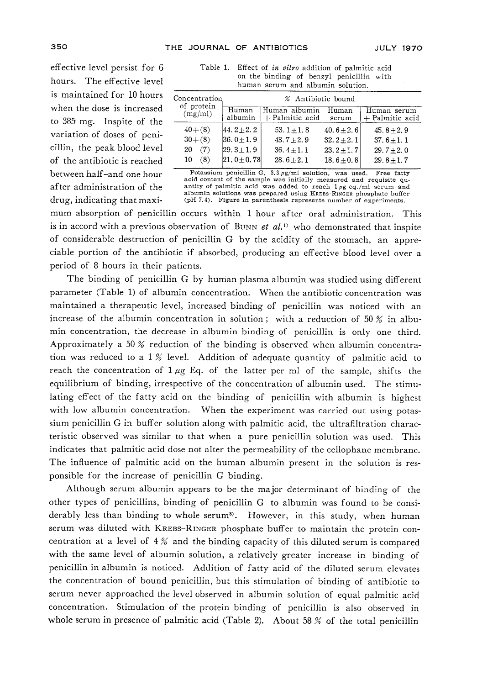effective level persist for 6 hours. The effective level is maintained for 10 hours when the dose is increased to 385 mg. Inspite of the variation of doses of penicillin, the peak blood level of the antibiotic is reached between half-and one hour after administration of the drug, indicating that maxi-

| Table 1. Effect of <i>in vitro</i> addition of palmitic acid |
|--------------------------------------------------------------|
| on the binding of benzyl penicillin with                     |
| human serum and albumin solution.                            |

| Concentration <br>of protein<br>(mg/ml) | % Antibiotic bound |                                  |                |                                |  |
|-----------------------------------------|--------------------|----------------------------------|----------------|--------------------------------|--|
|                                         | Human<br>albumin   | Human albumin<br>+ Palmitic acid | Human<br>serum | Human serum<br>+ Palmitic acid |  |
| $40 + (8)$                              | $44.2 \pm 2.2$     | $53.1 \pm 1.8$                   | $40.6 + 2.6$   | $45.8 + 2.9$                   |  |
| $30 + (8)$                              | $ 36.0 + 1.9 $     | $43.7 + 2.9$                     | $32.2 + 2.1$   | $37.6 \pm 1.1$                 |  |
| (7)<br>20                               | $ 29.3 \pm 1.9 $   | $36.4 + 1.1$                     | $23.2 \pm 1.7$ | $29.7 + 2.0$                   |  |
| (8)<br>10                               | $ 21.0 \pm 0.78 $  | $28.6 + 2.1$                     | $18.6 + 0.8$   | $29.8 + 1.7$                   |  |

Potassium penicillin G,  $3.3 \mu g/ml$  solution, was used. Free fatty rotational content of the sample was initially measured and requisite quantity of palmitic acid was added to reach 1  $\mu$ g eq./ml serum and albumin solutions was prepared using KREBS-RINGER phosphate buffer (pH 7.4). Figure in parenthesis represents number of experiments.

mum absorption of penicillin occurs within 1 hour after oral administration. This is in accord with a previous observation of BUNN et al.<sup>1)</sup> who demonstrated that inspite of considerable destruction of penicillin G by the acidity of the stomach, an appreciable portion of the antibiotic if absorbed, producing an effective blood level over a period of 8 hours in their patients.

The binding of penicillin G by human plasma albumin was studied using different parameter (Table 1) of albumin concentration. When the antibiotic concentration was maintained a therapeutic level, increased binding of penicillin was noticed with an increase of the albumin concentration in solution; with a reduction of 50 % in albumin concentration, the decrease in albumin binding of penicillin is only one third. Approximately a 50 % reduction of the binding is observed when albumin concentration was reduced to a 1% level. Addition of adequate quantity of palmitic acid to reach the concentration of  $1 \mu g$  Eq. of the latter per ml of the sample, shifts the equilibrium of binding, irrespective of the concentration of albumin used. The stimulating effect of the fatty acid on the binding of penicillin with albumin is highest with low albumin concentration. When the experiment was carried out using potassium penicillin G in buffer solution along with palmitic acid, the ultrafiltration characteristic observed was similar to that when a pure penicillin solution was used. This indicates that palmitic acid dose not alter the permeability of the cellophane membrane. The influence of palmitic acid on the human albumin present in the solution is responsible for the increase of penicillin G binding.

Although serum albumin appears to be the major determinant of binding of the other types of penicillins, binding of penicillin G to albumin was found to be considerably less than binding to whole serum<sup>3</sup>). However, in this study, when human serum was diluted with KREBS-RINGER phosphate buffer to maintain the protein concentration at a level of  $4%$  and the binding capacity of this diluted serum is compared with the same level of albumin solution, a relatively greater increase in binding of penicillin in albumin is noticed. Addition of fatty acid of the diluted serum elevates the concentration of bound penicillin, but this stimulation of binding of antibiotic to serum never approached the level observed in albumin solution of equal palmitic acid concentration. Stimulation of the protein binding of penicillin is also observed in whole serum in presence of palmitic acid (Table 2). About 58  $%$  of the total penicillin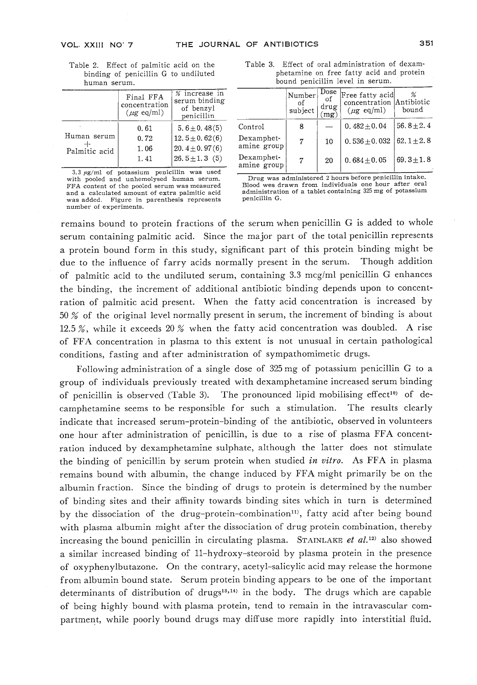Table 2. Effect of palmitic acid on the binding of penicillin G to undiluted human serum.

|               | Final FFA<br>concentration<br>$(\mu$ g eq/ml) | % increase in<br>serum binding<br>of benzyl<br>penicillin |
|---------------|-----------------------------------------------|-----------------------------------------------------------|
|               | 0.61                                          | $5.6 \pm 0.48(5)$                                         |
| Human serum   | 0.72                                          | $12.5 \pm 0.62(6)$                                        |
| Palmitic acid | $-1.06$                                       | 20. $4 \pm 0.97(6)$                                       |
|               | 1.41                                          | $26.5 \pm 1.3$ (5)                                        |
|               |                                               |                                                           |

3.3 fig/ml of potassium penicillin was used with pooled and unhemolysed human serum. FFA content of the pooled serum was measured<br>and a calculated amount of extra palmitic acid and a calculated amount of extra palmitic acid<br>was added. Figure in parenthesis represent<br>was added. number of experiments.

Table 3. Effect of oral administration of dexamphetamine on free fatty acid and protein bound penicillin level in serum.

|                           | Number<br>of<br>subject | Dose<br>οf<br>drug | Free fatty acid <br>concentration<br>$(\mu \text{g eq/ml})$ | Antibiotic<br>bound |
|---------------------------|-------------------------|--------------------|-------------------------------------------------------------|---------------------|
| Control                   | 8                       |                    | $0.482 \pm 0.04$                                            | $56.8 + 2.4$        |
| Dexamphet-<br>amine group | 7                       | 10                 | $0.536 \pm 0.032$                                           | $62.1 \pm 2.8$      |
| Dexamphet-<br>amine group | 7                       | 20                 | $0.684 \pm 0.05$                                            | $69.3 \pm 1.8$      |

Drug was administered <sup>2</sup> hours before penicillin intake. Blood wes drawn from individuals one hour after oral<br>administration of a tablet containing 325 mg of potassium penicillin G.

remains bound to protein fractions of the serum when penicillin G is added to whole serum containing palmitic acid. Since the major part of the total penicillin represents a protein bound form in this study, significant part of this protein binding might be due to the influence of farry acids normally present in the serum. Though addition of palmitic acid to the undiluted serum, containing 3.3 mcg/ml penicillin G enhances the binding, the increment of additional antibiotic binding depends upon to concentration of palmitic acid present. When the fatty acid concentration is increased by 50 % of the original level normally present in serum, the increment of binding is about 12.5%, while it exceeds 20% when the fatty acid concentration was doubled. A rise of FFA concentration in plasma to this extent is not unusual in certain pathological conditions, fasting and after administration of sympathomimetic drugs.

Following administration of a single dose of 325mg of potassium penicillin G to a group of individuals previously treated with dexamphetamine increased serum binding of penicillin is observed (Table 3). The pronounced lipid mobilising effect<sup>10</sup> of decamphetamine seems to be responsible for such a stimulation. The results clearly indicate that increased serum-protein-binding of the antibiotic, observed in volunteers one hour after administration of penicillin, is due to a rise of plasma FFA concentration induced by dexamphetamine sulphate, although the latter does not stimulate the binding of penicillin by serum protein when studied *in vitro*. As FFA in plasma remains bound with albumin, the change induced by FFA might primarily be on the albumin fraction. Since the binding of drugs to protein is determined by the number of binding sites and their affinity towards binding sites which in turn is determined by the dissociation of the drug-protein-combination<sup>11</sup>, fatty acid after being bound with plasma albumin might after the dissociation of drug protein combination, thereby increasing the bound penicillin in circulating plasma. STAINLAKE *et al.*<sup>12)</sup> also showed a similar increased binding of ll-hydroxy-steoroid by plasma protein in the presence of oxyphenylbutazone. On the contrary, acetyl-salicylic acid may release the hormone from albumin bound state. Serum protein binding appears to be one of the important determinants of distribution of drugs<sup>13,14)</sup> in the body. The drugs which are capable of being highly bound with plasma protein, tend to remain in the intravascular compartment, while poorly bound drugs may diffuse more rapidly into interstitial fluid.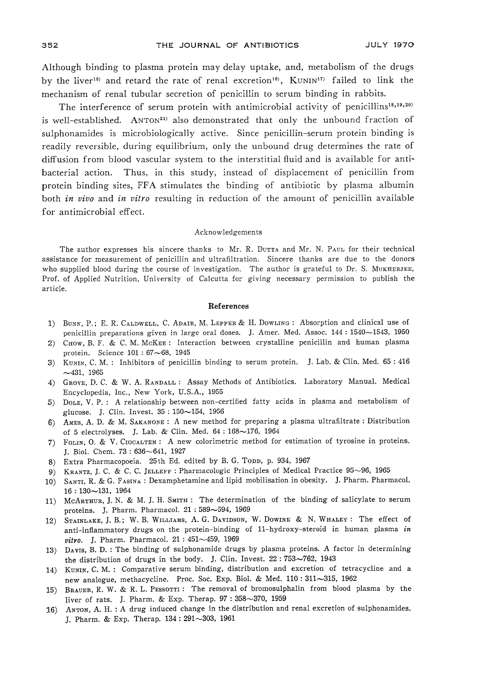Although binding to plasma protein may delay uptake, and, metabolism of the drugs by the liver<sup>15)</sup> and retard the rate of renal excretion<sup>16)</sup>, KUNIN<sup>17</sup> failed to link the echanism of renal tubular secretion of penicillin to serum binding in rabbits.

The interference of serum protein with antimicrobial activity of penicillins<sup>18,19,20)</sup> is well-established. ANTON<sup>21)</sup> also demonstrated that only the unbound fraction of sulphonamides is microbiologically active. Since penicillin-serum protein binding is readily reversible, during equilibrium, only the unbound drug determines the rate of diffusion from blood vascular system to the interstitial fluid and is available for antibacterial action. Thus, in this study, instead of displacement of penicillin from protein binding sites, FFA stimulates the binding of antibiotic by plasma albumin both *in vivo* and *in vitro* resulting in reduction of the amount of penicillin available for antimicrobial effect.

### Acknowledgements

The author expresses his sincere thanks to Mr. R. DUTTA and Mr. N. PAUL for their technical assistance for measurement of penicillin and ultrafiltration. Sincere thanks are due to the donors who supplied blood during the course of investigation. The author is grateful to Dr. S. MUKHERJEE, Prof, of Applied Nutrition, University of Calcutta for giving necessary permission to publish the article.

#### References

- 1) Bunn, P.; E. R. Caldwell, C. Adair, M. Lepper& H. Dowling : Absorption and clinical use of penicillin preparations given in large oral doses. J. Amer. Med. Assoc. <sup>144</sup> : 1540-1543, 1950
- 2) Chow, B. F. & C. M. McKee : Interaction between crystalline penicillin and human plasma protein. Science  $101 : 67~68$ , 1945
- 3) Kunin, C. M. : Inhibitors of penicillin binding to serum protein. J. Lab. & Clin. Med. <sup>65</sup> : <sup>416</sup>  $-431, 1965$
- 4) GROVE, D. C. & W. A. RANDALL : Assay Methods of Antibiotics. Laboratory Manual. Medical Encyclopedia, Inc., New York, U.S.A., 1955
- 5) Dole, V. P. : A relationship between non-certified fatty acids in plasma and metabolism of glucose. J. Clin. Invest. 35 : 150-154, 1956
- 6) Ames, A. D. & M. Sakanone : A new method for preparing a plasma ultrafiltrate : Distribution of <sup>5</sup> electrolyses. J. Lab. & Clin. Med. 64 : 168-176, 1964
- 7) Folin, 0. & V. Ciocalten : A new colorimetric method for estimation of tyrosine in proteins. J. Biol. Chem. 73 : 636-641, 1927
- 8) Extra Pharmacopoeia. 25th Ed. edited by B. G. Topp, p. 934, 1967
- 9) KRANTZ, J. C. & C. C. JELLEFF : Pharmacologic Principles of Medical Practice 95~96, 1965
- 10) Santi, R. & G. Fasina : Dexamphetamine and lipid mobilisation in obesity. J. Pharm. Pharmacol. 16 : 130-131, 1964
- ll) McArthur, J. N. & M. J. H. Smith : The determination of the binding of salicylate to serum proteins. J. Pharm. Pharmacol. 21 : 589-594, 1969
- 12) STAINLAKE, J. B.; W. B. WILLIAMS, A. G. DAVIDSON, W. DOWINE & N. WHALEY : The effect of anti-inflammatory drugs on the protein-binding of ll-hydroxy-steroid in human plasma in vitro. J. Pharm. Pharmacol.  $21:451{\sim}459,$  1969
- 13) Davis, B. D. : The binding of sulphonamide drugs by plasma proteins. A factor in determining the distribution of drugs in the body. J. Clin. Invest.  $22:753 \sim 762$ , 1943
- 14) Kunin, C. M. : Comparative serum binding, distribution and excretion of tetracycline and a new analogue, methacycline. Proc. Soc. Exp. Biol. & Med. 110: 311~315, 1962
- 15) BRAUER, R. W. & R. L. PESSOTTI: The removal of bromosulphalin from blood plasma by the liver of rats. J. Pharm. & Exp. Therap. 97 : 358-370, 1959
- 16) Anton, A. H. : A drug induced change in the distribution and renal excretion of sulphonamides. J. Pharm. & Exp. Therap. 134: 291~303, 1961